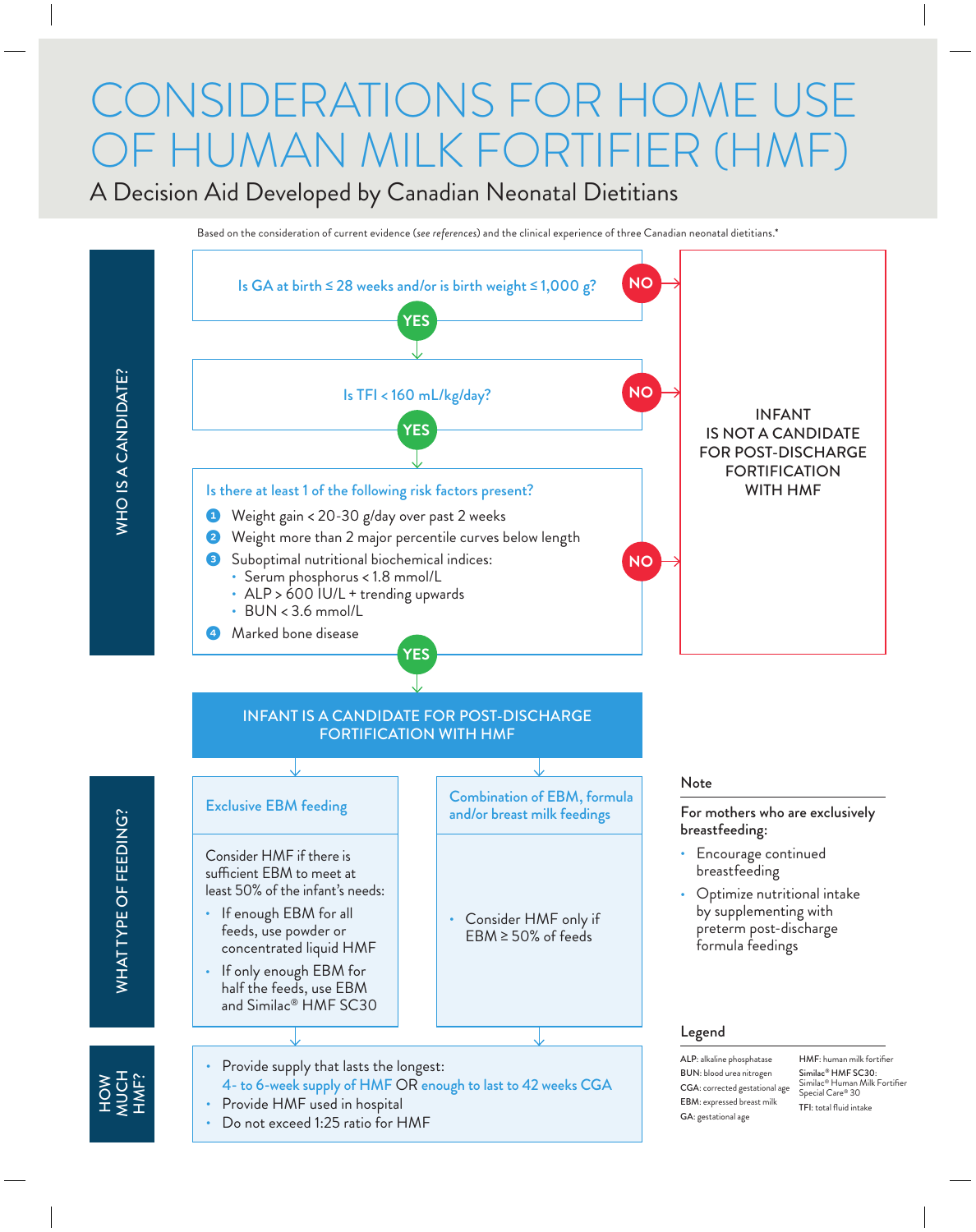## CONSIDERATIONS FOR HOME US OF HUMAN MILK FORTIFIER (HMF)

A Decision Aid Developed by Canadian Neonatal Dietitians

Based on the consideration of current evidence (*see references*) and the clinical experience of three Canadian neonatal dietitians.\*